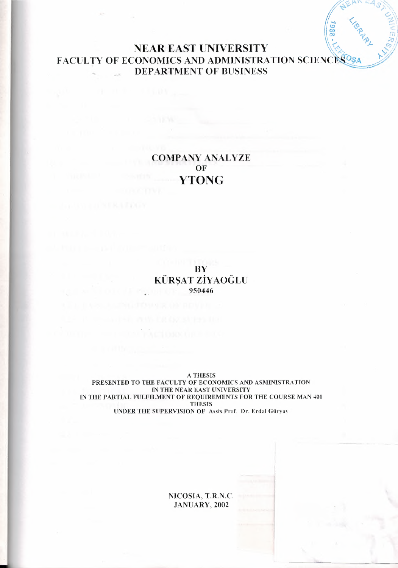# NEAR EAST UNIVERSITY \;{~~, ).. *'1ı~,,,ıY* FACULTY OF ECONOMICS AND ADMINISTRATION SCIENCES<sup>O</sup>S DEPARTMENT OF BUSINESS

1988.

 $\mathcal{L} \subset \mathbb{R}$  is called  $\mathbb{R}^+$ . **475 ...** = 48 /

 $\parallel$ ,  $\mathcal{P}, \qquad \mathcal{P}$ 

*(* ..,\\.  $\sqrt{a^2 - a^2}$  $\frac{1}{\sqrt{2}}$ *<sup>1</sup>* rn '

 $\epsilon^*$ 

# COMPANY ANALYZE OF **YTONG**

**BY** KÜRŞAT ZİYAOGLU 950446

A THESIS PRESENTED TO THE FACULTY OF ECONOMICS AND ASMINISTRATION IN THE NEAR EAST UNIVERSITY IN THE PARTIAL FULFILMENT OF REQUIREMENTS FOR THE COURSE MAN 400 THESIS UNDER THE SUPERVISION OF Assis.Prof. Dr. Erdal Güryay

> NICOSIA, T.R.N.C. JANUARY, 2002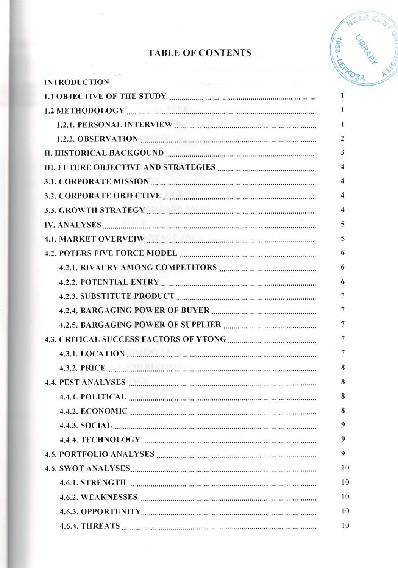# TABLE OF CONTENTS



| <b>INTRODUCTION</b>                                                                                                                                                                                                                  |    |
|--------------------------------------------------------------------------------------------------------------------------------------------------------------------------------------------------------------------------------------|----|
| 1.1 OBJECTIVE OF THE STUDY <b>CONSUMERS</b> 2.1 OBJECTIVE OF THE STUDY                                                                                                                                                               | 1  |
|                                                                                                                                                                                                                                      | 1  |
|                                                                                                                                                                                                                                      | 1  |
| 1.2.2. OBSERVATION <b>MARKET AND RESIDENT ASSESS</b>                                                                                                                                                                                 | 2  |
|                                                                                                                                                                                                                                      | 3  |
|                                                                                                                                                                                                                                      | 4  |
| 3.1. CORPORATE MISSION <b>Example 2016</b> 21 AM                                                                                                                                                                                     | 4  |
| 3.2. CORPORATE OBJECTIVE <b>MARKET AND RESIDENT ASSESS</b>                                                                                                                                                                           | 4  |
| 3.3. GROWTH STRATEGY <b>And According to the STRATEGY</b>                                                                                                                                                                            |    |
|                                                                                                                                                                                                                                      | 5  |
|                                                                                                                                                                                                                                      | 5  |
|                                                                                                                                                                                                                                      | 6  |
|                                                                                                                                                                                                                                      | 6  |
| 4.2.2. POTENTIAL ENTRY <b>CONSERVANCE OF A SET AND THE SET OF A SET AND THE SET AND THE SET AND THE SET AND THE SET AND THE SET AND SET AND SET AND SET AND SET AND SET AND SET AND SET AND SET AND SET AND SET AND SET AND SET </b> | 6  |
|                                                                                                                                                                                                                                      | 7  |
|                                                                                                                                                                                                                                      | 7  |
|                                                                                                                                                                                                                                      |    |
|                                                                                                                                                                                                                                      |    |
|                                                                                                                                                                                                                                      |    |
|                                                                                                                                                                                                                                      | 8  |
|                                                                                                                                                                                                                                      | 8  |
| 4.4.1. POLITICAL <b>MARIE AND ACCORDING TO A REPORT OF A REAL POLITICAL</b>                                                                                                                                                          | 8  |
| 4.4.2. ECONOMIC <b>Manual Communication</b> Contract Contract Contract Contract Contract Contract Contract Contract Contract Contract Contract Contract Contract Contract Contract Contract Contract Contract Contract Contract Con  | 8  |
|                                                                                                                                                                                                                                      | 9  |
|                                                                                                                                                                                                                                      | 9  |
|                                                                                                                                                                                                                                      | 9  |
|                                                                                                                                                                                                                                      | 10 |
|                                                                                                                                                                                                                                      | 10 |
|                                                                                                                                                                                                                                      | 10 |
|                                                                                                                                                                                                                                      | 10 |
| 4.6.4. THREATS                                                                                                                                                                                                                       | 10 |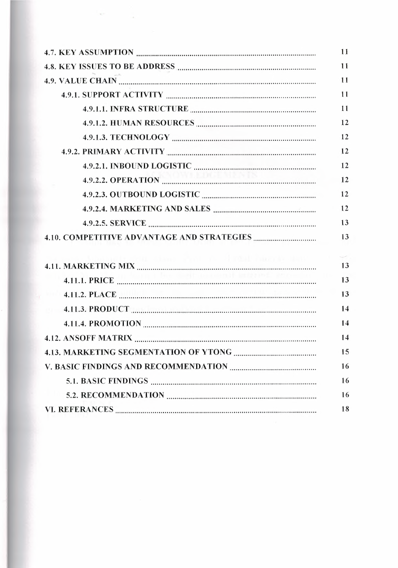|                                                                         | 11 |
|-------------------------------------------------------------------------|----|
| 4.8. KEY ISSUES TO BE ADDRESS <b>MALLERY ASSESS CONSERVERS EXECUTE:</b> | 11 |
|                                                                         | 11 |
|                                                                         | 11 |
|                                                                         | 11 |
|                                                                         | 12 |
|                                                                         | 12 |
|                                                                         | 12 |
|                                                                         | 12 |
|                                                                         | 12 |
|                                                                         | 12 |
|                                                                         | 12 |
|                                                                         | 13 |
|                                                                         |    |
|                                                                         | 13 |
|                                                                         |    |
| il chan that a Hadal himle um                                           | 13 |
|                                                                         | 13 |
|                                                                         | 13 |
|                                                                         | 14 |
|                                                                         | 14 |
|                                                                         | 14 |
| 4.13. MARKETING SEGMENTATION OF YTONG                                   | 15 |
|                                                                         | 16 |
|                                                                         | 16 |
|                                                                         | 16 |

 $\mathcal{R}^{\mu}$  , and  $\mathcal{R}^{\mu}$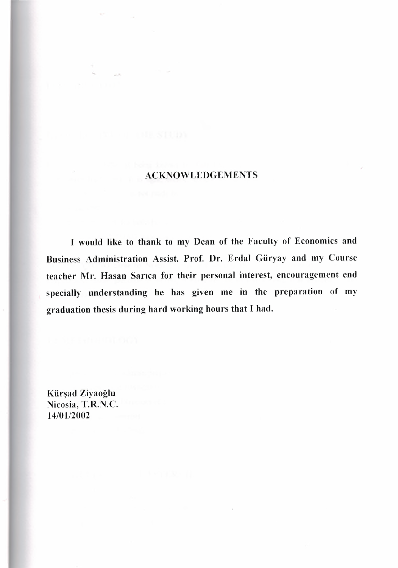# ACKNOWLEDGEMENTS

I would like to thank to my Dean of the Faculty of Economics and Business Administration Assist. Prof. Dr. Erdal Güryay and my Course teacher Mr. Hasan Sarıca for their personal interest, encouragement end specially understanding he has given me in the preparation of my graduation thesis during hard working hours that I had.

Kürşad Ziyaoğlu Nicosia, T.R.N.C. 14/01/2002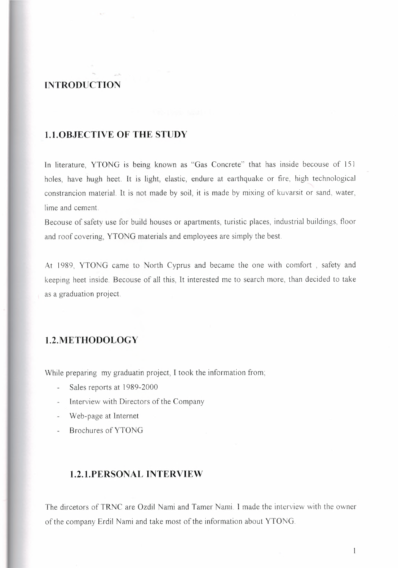# **INTRODUCTION**

### I.**I.OBJECTIVE OF THE STUDY**

In literature, YTONG is being known as "Gas Concrete" that has inside becouse of 151 holes, have hugh heet. It is light, elastic, endure at earthquake or fire, high technological constrancion material. It is not made by soil, it is made by mixing of kuvarsit or sand, water, lime and cement

Because of safety use for build houses or apartments, turistic places, industrial buildings, floor and roof covering, YTONG materials and employees are simply the best

At 1989, YTONG came to North Cyprus and became the one with comfort , safety and keeping heet inside. Because of all this, It interested me to search more, than decided to take as a graduation project.

### **1.2.METHODOLOGY**

While preparing my graduatin project, I took the information from;

- Sales reports at 1989-2000
- Interview with Directors of the Company
- Web-page at Internet
- Brochures of YTONG

# **1.2.1.PERSONAL INTERVIEW**

The dircetors of TRNC are Ozdil Nami and Tamer Nami. <sup>1</sup> made the interview with the owner of the company Erdil Nami and take most of the information about YTONG

 $\mathbf{1}$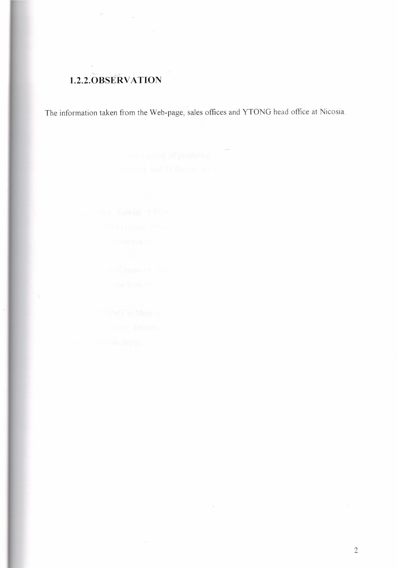# **1.2.2.0BSERV ATION**

The information taken from the Web-page, sales offices and YTONG head office at Nicosia.

 $\sim$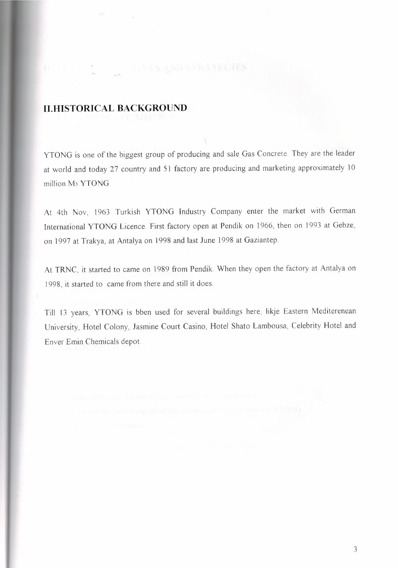# **II.HISTORICAL BACKGROUND**

11 年11 戌 三

YTONG is one of the biggest group of producing and sale Gas Concrete. They are the leader at world and today 27 country and 51 factory are producing and marketing approximately 10 million M<sub>3</sub> YTONG.

At 4th Nov, 1963 Turkish YTONG Industry Company enter the market with German International YTONG Licence. First factory open at Pendik on 1966, then on 1993 at Gebze, on 1997 at Trakya, at Antalya on 1998 and last June 1998 at Gaziantep.

At TRNC, it started to came on 1989 from Pendik. When they open the factory at Antalya on 1998, it started to came from there and still it does.

Till 13 years, YTONG is bben used for several buildings here, likje Eastern Mediterenean University, Hotel Colony, Jasmine Court Casino, Hotel Shato Lambousa, Celebrity Hotel and Enver Emin Chemicals depot

3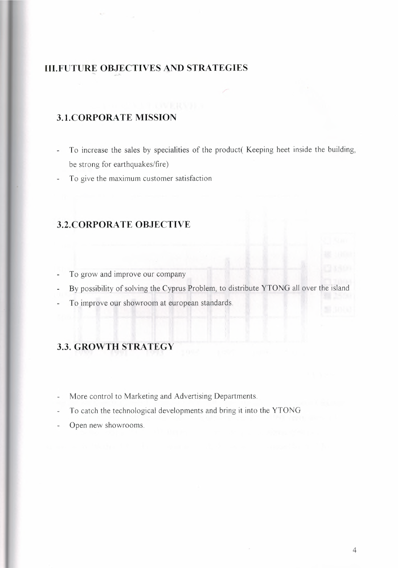# **III.FUTURE OBJECTIVES AND STRATEGIES** ....

# **3.1.CORPORA TE MISSION**

- To increase the sales by specialities of the product( Keeping heet inside the building,  $\overline{\phantom{a}}$ be strong for earthquakes/fire)
- To give the maximum customer satisfaction  $\overline{\phantom{a}}$

# **3.2.CORPORATE OBJECTIVE**

- To grow and improve our company
- By possibility of solving the Cyprus Problem, to distribute YTONG all over the island
- To improve our showroom at european standards

# 3.3. **GROWTH STRATEGY**

- More control to Marketing and Advertising Departments.
- To catch the technological developments and bring it into the YTONG L.
- Open new showrooms.  $\overline{a}$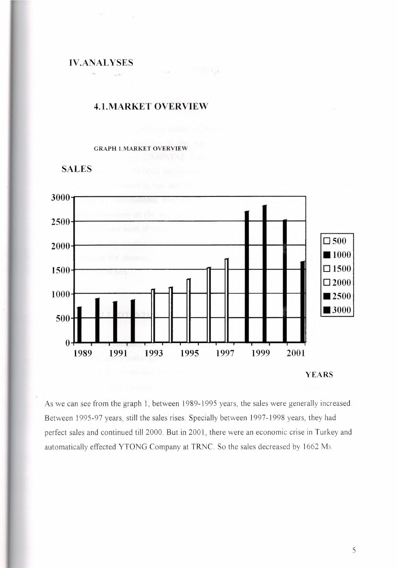IV.ANALYSES

•..

### 4.1.MARKET OVERVIEW

#### GRAPH !.MARKET OVERVIEW





As we can see from the graph 1, between 1989-1995 years, the sales were generally increased. Between 1995-97 years, still the sales rises. Specially between 1997-1998 years, they had perfect sales and continued till 2000. But in 2001, there were an economic erise in Turkey and automatically effected YTONG Company at TRNC. So the sales decreased by 1662 M3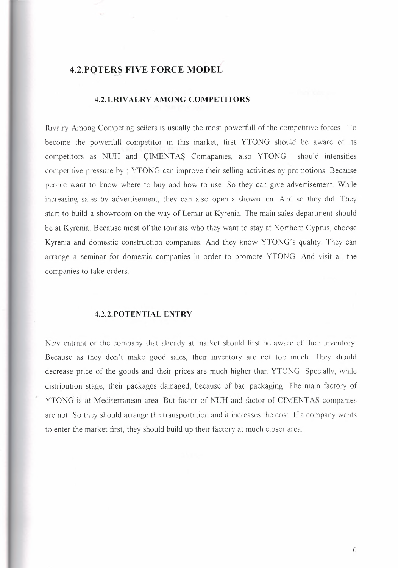# **4.2.POTERŞ FIVE FORCE MODEL**

### **4.2.1.RIVALRY AMONG COMPETITORS**

Rıvalry Among Competıng sellers ıs usually the most powerfull of the competıtıve forces . To become the powerfull competıtor ın thıs market, first YTONG should be aware of its competitors as NUH and CIMENTAS Comapanies, also YTONG should intensities competitive pressure by ; YTONG can improve their selling activities by promotions. Because people want to know where to buy and how to use So they can give advertisement. While increasing sales by advertisement, they can also open a showroom. And so they did. They start to build a showroom on the way of Lemar at Kyrenia The main sales department should be at Kyrenia. Because most of the tourists who they want to stay at Northern Cyprus, choose Kyrenia and domestic construction companies. And they know YTONG's quality. They can arrange a seminar for domestic companies in order to promote YTONG. *And* visit all the companies to take orders.

### **4.2.2.POTENTIAL ENTRY**

New entrant or the company that already at market should first be aware of their inventory Because as they don't make good sales, their inventory are not too much. They should decrease price of the goods and their prices are much higher than YTONG. Specially, while distribution stage, their packages damaged, because of bad packaging The main factory of YTONG is at Mediterranean area. But factor of NUH and factor of CIMENTAS companies are not. So they should arrange the transportation and it increases the cost. If a company wants to enter the market first, they should build up their factory at much closer area.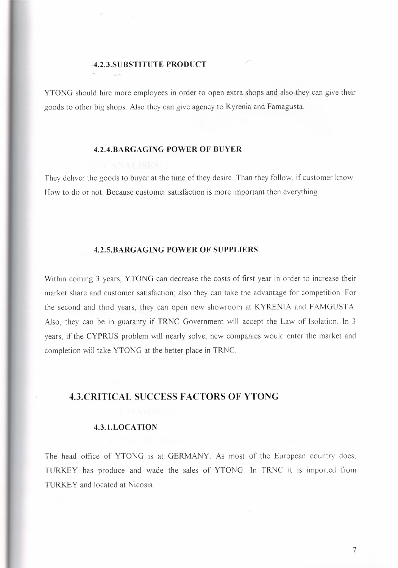### **4.2.3.SUBSTITUTE PRODUCT**

YTONG should hire more employees in order to open extra shops and also they can give their goods to other big shops. Also they can give agency to Kyrenia and Famagusta

### **4.2.4.BARGAGING POWER OF BUYER**

They deliver the goods to buyer at the time of they desire. Than they follow, if customer know How to do or not. Because customer satisfaction is more important then everything.

### **4.2.5.BARGAGING POWER OF SUPPLIERS**

Within coming <sup>3</sup> years, YTONG can decrease the costs of first year in order to increase their market share and customer satisfaction; also they can take the advantage for competition. For the second and third years, they can open new showroom at KYRENIA and FAMGUSTA Also, they can be in guaranty if TRNC Government will accept the Law of Isolation In <sup>3</sup> years, if the CYPRUS problem will nearly solve, new companies would enter the market and completion will take YTONG at the better place in TRNC.

### **4.3.CRITICAL SUCCESS FACTORS OF YTONG**

### **4.3.1.LOCATION**

The head office of YTONG is at GERMANY. As most of the European country does, *TURKEY* has produce and wade the sales of YTONG. In TRNC it is imported from TURKEY and located at Nicosia.

7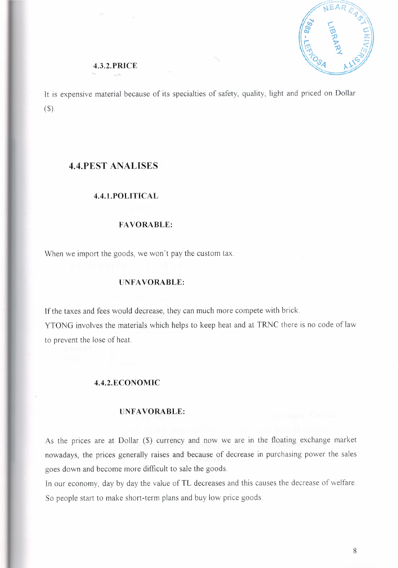

### **4.3.2.PRICE**

It is expensive material because of its specialties of safety, quality, light and priced on Dollar (\$).

### **4.4.PEST ANALISES**

#### **4.4.1.POLITICAL**

### **FAVORABLE:**

When we import the goods, we won't pay the custom tax.

### **UNFAVORABLE:**

If the taxes and fees would decrease, they can much more compete with brick. YTONG involves the materials which helps to keep heat and at TRNC there is no code of law to prevent the lose of heat

### **4.4.2.ECONOMIC**

#### **UNFAVORABLE:**

As the prices are at Dollar (\$) currency and now we are in the floating exchange market nowadays, the prices generally raises and because of decrease in purchasing power the sales goes down and become more difficult to sale the goods.

In our economy, day by day the value of TL decreases and this causes the decrease of welfare So people start to make short-term plans and buy low price goods.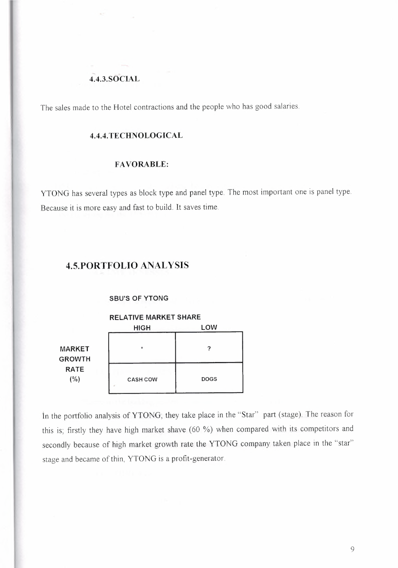### **4.4.3.SOCIAL**

The sales made to the Hotel contractions and the people who has good salaries.

### **4.4.4. TECHNOLOGICAL**

### **FAVORABLE:**

YTONG has several types as block type and panel type. The most important one is panel type. Because it is more easy and fast to build. It saves time.

### **4.5.PORTFOLIO ANALYSIS**

#### **SBU'S OF YTONG**

### **RELATIVE MARKET SHARE**

|                                | <b>HIGH</b>     | LOW         |  |
|--------------------------------|-----------------|-------------|--|
| <b>MARKET</b><br><b>GROWTH</b> | $\star$         | っ           |  |
| <b>RATE</b><br>(%)             | <b>CASH COW</b> | <b>DOGS</b> |  |

in the portfolio analysis of YTONG; they take place in the "Star" part (stage). The reason for this is; firstly they have high market shave (60 %) when compared with its competitors and secondly because of high market growth rate the YTONG company taken place in the "star" stage and became of thin, YTONG is a profit-generator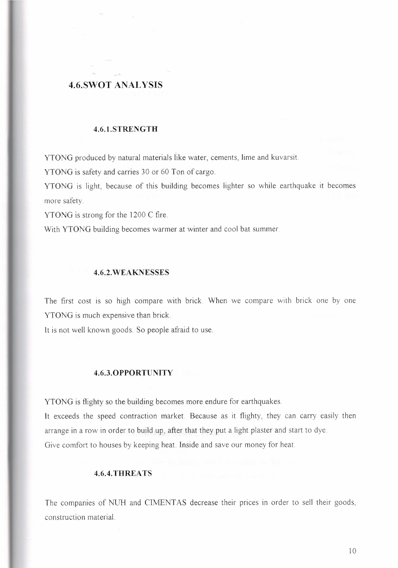# **4.6.SWOT ANALYSIS**

### **4.6.1.STRENGTH**

YTONG produced by natural materials İike water, cements, lime and kuvarsit

YTONG is safety and carries 30 or 60 Ton of cargo.

YTONG is light, because of this building becomes lighter so while earthquake it becomes more safety.

YTONG is strong for the 1200 C fire

With YTONG building becomes warmer at winter and cool bat summer.

### **4.6.2.WEAKNESSES**

The first cost is so high compare with brick When we compare with brick one by one YTONG is much expensive than brick

It is not well known goods. So people afraid to use.

#### **4.6.3.0PPORTUNITY**

YTONG is flighty so the building becomes more endure for earthquakes.

It exceeds the speed contraction market. Because as it flighty, they can carry easily then arrange in a row in order to build up, after that they put a light plaster and start to dye. Give comfort to houses by keeping heat. Inside and save our money for heat.

### **4.6.4. THREATS**

The companies of NUH and CIMENTAS decrease their prices in order to sell their goods, construction material.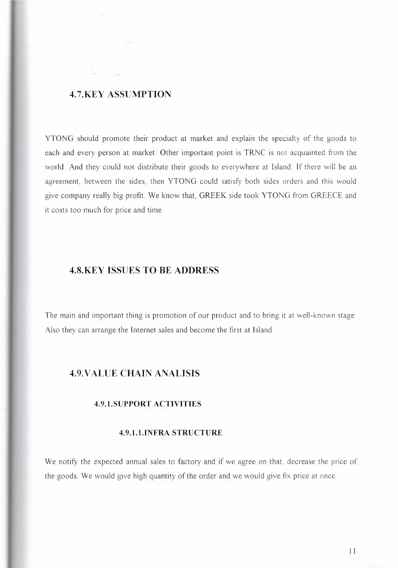### **4.7.KEY ASSUMPTION**

YTONG should promote their product at market and explain the specialty of the goods to each and every person at market. Other important point is TRNC is not acquainted from the world. And they could not distribute their goods to everywhere at Island. If there will be an agreement, between the sides, then YTONG could satisfy both sides orders and this would give company really big profit. We know that, GREEK side took YTONG from GREECE and it costs too much for price and time.

### **4.8.KEY ISSUES TO BE ADDRESS**

The main and important thing is promotion of our product and to bring it at well-known stage. Also they can arrange the Internet sales and become the first at Island.

### **4.9.VALUE CHAIN ANALISIS**

### **4.9.1.SUPPORT ACTIVITIES**

### **4.9.1.1.INFRA STRUCTURE**

We notify the expected annual sales to factory and if we agree on that, decrease the price of the goods. We would give high quantity of the order and we would give fix price at once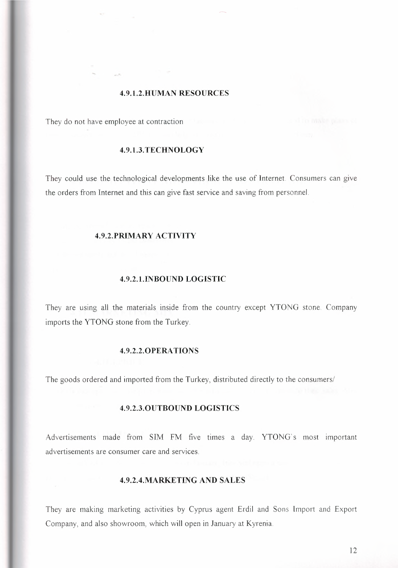### **4.9.1.2.HUMAN RESOURCES**

They do not have employee at contraction

### **4.9.1.3.TECHNOLOGY**

They could use the technological developments like the use of Internet. Consumers can give the orders from Internet and this can give fast service and saving from personnel

### **4.9.2.PRIMARY ACTIVITY**

#### **4.9.2.1.INBOUND LOGISTIC**

They are using all the materials inside from the country except YTONG stone. Company imports the YTONG stone from the Turkey.

### **4.9.2.2.0PERA TIONS**

The goods ordered and imported from the Turkey, distributed directly to the consumers/

#### **4.9.2.3.0UTBOUND LOGISTICS**

Advertisements made from SIM FM five times a day. YTONG's most important advertisements are consumer care and services.

### **4.9.2.4.MARKETING AND SALES**

They are making marketing activities by Cyprus agent Erdil and Sons Import and Export Company, and also showroom, which will open in January at Kyrenia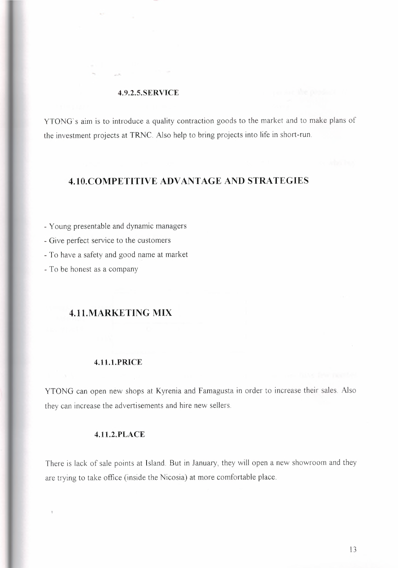#### **4.9.2.5.SERVICE**

YTONG's aim is to introduce a quality contraction goods to the market and to make plans of the investment projects at **TRNC.** Also help to bring projects into life in short-run.

# **4.10.COMPETITIVE ADVANTAGE AND STRATEGIES**

- Young presentable and dynamic managers
- Give perfect service to the customers
- To have a safety and good name at market
- To be honest as a company

# **4.11.MARKETING MIX**

### **4.11.1.PRICE**

YTONG can open new shops at Kyrenia and Famagusta in order to increase their sales. Also they can increase the advertisements and hire new sellers.

### **4.11.2.PLACE**

 $\bar{\tau}$ 

There is lack of sale points at Island. But in January, they will open a new showroom and they are trying to take office (inside the Nicosia) at more comfortable place.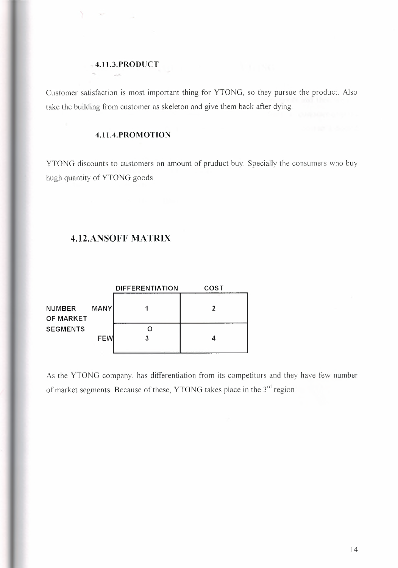### **4.11.3.PRODUCT**

An including

Customer satisfaction is most important thing for YTONG, so they pursue the product Also take the building from customer as skeleton and give them back after dying.

### **4.11.4.PROMOTION**

YTONG discounts to customers on amount of pruduct buy. Specially the consumers who buy hugh quantity of YTONG goods.

# **4.12.ANSOFF MATRIX**

|                            |             | <b>DIFFERENTIATION</b> | COST                         |
|----------------------------|-------------|------------------------|------------------------------|
| <b>NUMBER</b><br>OF MARKET | <b>MANY</b> |                        | 2                            |
| <b>SEGMENTS</b>            | <b>FEW</b>  |                        | the same company of the con- |

As the YTONG company, has differentiation from its competitors and they have few number of market segments. Because of these, YTONG takes place in the 3<sup>rd</sup> region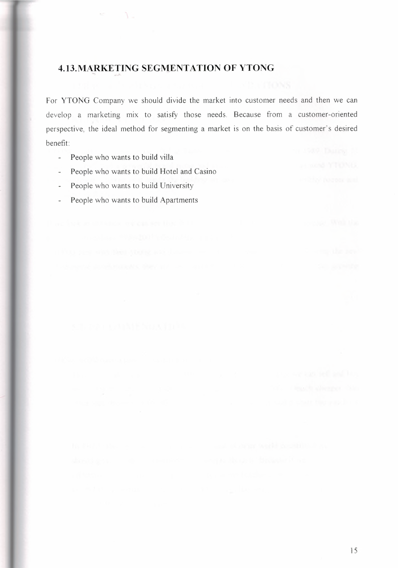# **4.13.MARKETING SEGMENTATION OF YTONG**

For YTONG Company we should divide the market into customer needs and then we can develop a marketing mix to satisfy those needs. Because from a customer-oriented perspective, the ideal method for segmenting a market is on the basis of customer's desired benefit:

- People who wants to **build** villa  $\frac{1}{2}$
- People who wants to build Hotel and Casino  $\omega$
- People who wants to build University  $\omega$
- People who wants to build Apartments  $\overline{\phantom{a}}$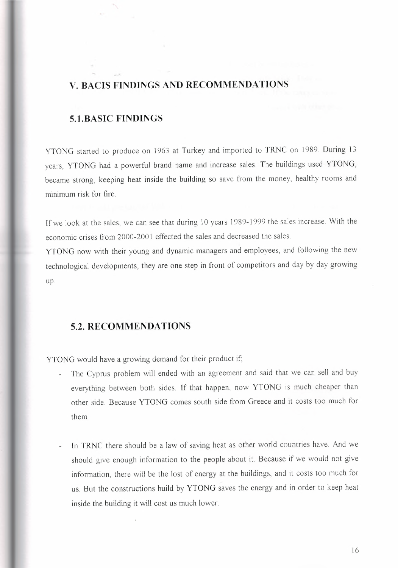# **V. BACIS FINDINGS AND RECOMMENDATIONS**

### **5.1.BASIC FINDINGS**

YTONG started to produce on 1963 at Turkey and imported to TRNC on 1989. During 13 years, YTONG had a powerful brand name and increase sales. The buildings used YTONG, became strong, keeping heat inside the building so save from the money, healthy rooms and minimum risk for fire

If we look at the sales, we can see that during 10 years 1989-1999 the sales increase. With the economic crises from 2000-2001 effected the sales and decreased the sales.

YTONG now with their young and dynamic managers and employees, and following the new technological developments, they are one step in front of competitors and day by day growing up.

# **5.2. RECOMMENDATIONS**

YTONG would have a growing demand for their product if;

- The Cyprus problem will ended with an agreement and said that we can sell and buy everything between both sides. If that happen, now YTONG is much cheaper than other side. Because YTONG comes south side from Greece and it costs too much for them
- In TRNC there should be a law of saving heat as other world countries have And we should give enough information to the people about it. Because if we would not give information, there will be the lost of energy at the buildings, and it costs too much for us. But the constructions build by YTONG saves the energy and in order to keep heat inside the building it will cost us much lower.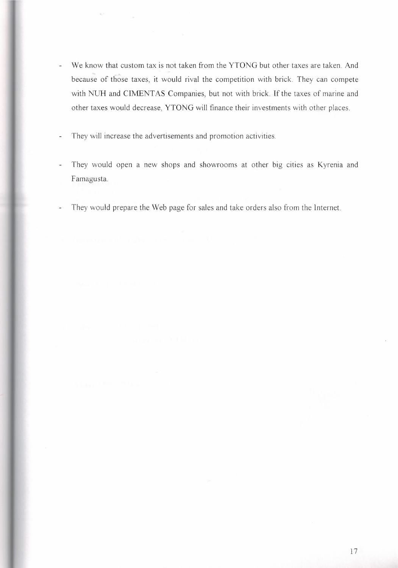- We know that custom tax is not taken from the YTONG but other taxes are taken. And  $\bar{\mathbb{Z}}$ because of those taxes, it would rival the competition with brick. They can compete with NUH and CIMENTAS Companies, but not with brick. If the taxes of marine and other taxes would decrease, YTONG will finance their investments with other places.
- They will increase the advertisements and promotion activities.  $\overline{a}$
- They would open a new shops and showrooms at other big cities as Kyrenia and  $\overline{a}$ Famagusta
- They would prepare the Web page for sales and take orders also from the Internet.  $\overline{a}$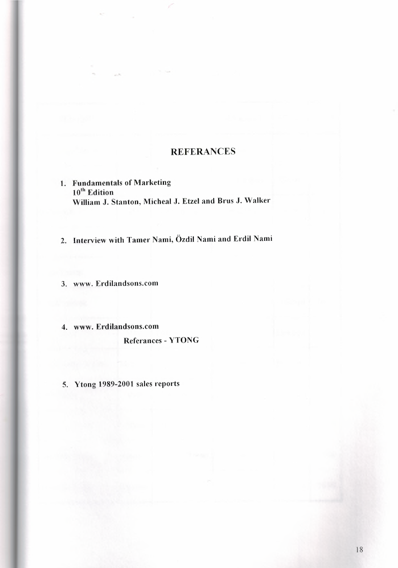# **REFERANCES**

- 1. Fundamentals of Marketing 10<sup>th</sup> Edition William J. Stanton, Micheal J. Etzel and Brus J. Walker
- 2. Interview with Tamer Nami, Özdil Nami and Erdil Nami

3. www.Erdilandsons.com

4. www. Erdilandsons.com

Referances - YTONG

5. Ytong 1989-2001 sales reports